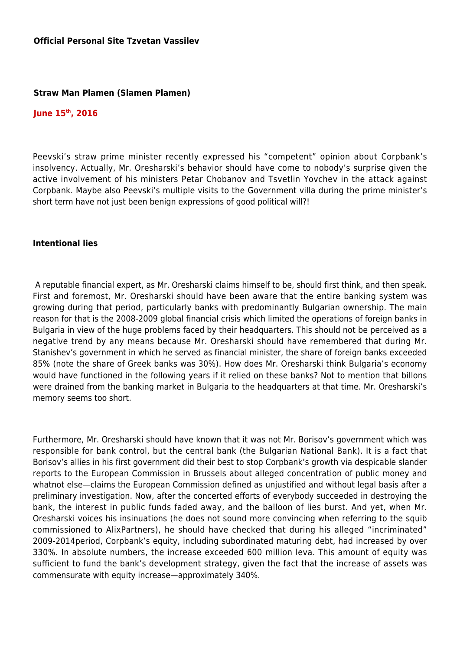## **Straw Man Plamen (Slamen Plamen)**

## **June 15th, 2016**

Peevski's straw prime minister recently expressed his "competent" opinion about Corpbank's insolvency. Actually, Mr. Oresharski's behavior should have come to nobody's surprise given the active involvement of his ministers Petar Chobanov and Tsvetlin Yovchev in the attack against Corpbank. Maybe also Peevski's multiple visits to the Government villa during the prime minister's short term have not just been benign expressions of good political will?!

## **Intentional lies**

 A reputable financial expert, as Mr. Oresharski claims himself to be, should first think, and then speak. First and foremost, Mr. Oresharski should have been aware that the entire banking system was growing during that period, particularly banks with predominantly Bulgarian ownership. The main reason for that is the 2008-2009 global financial crisis which limited the operations of foreign banks in Bulgaria in view of the huge problems faced by their headquarters. This should not be perceived as a negative trend by any means because Mr. Oresharski should have remembered that during Mr. Stanishev's government in which he served as financial minister, the share of foreign banks exceeded 85% (note the share of Greek banks was 30%). How does Mr. Oresharski think Bulgaria's economy would have functioned in the following years if it relied on these banks? Not to mention that billons were drained from the banking market in Bulgaria to the headquarters at that time. Mr. Oresharski's memory seems too short.

Furthermore, Mr. Oresharski should have known that it was not Mr. Borisov's government which was responsible for bank control, but the central bank (the Bulgarian National Bank). It is a fact that Borisov's allies in his first government did their best to stop Corpbank's growth via despicable slander reports to the European Commission in Brussels about alleged concentration of public money and whatnot else—claims the European Commission defined as unjustified and without legal basis after a preliminary investigation. Now, after the concerted efforts of everybody succeeded in destroying the bank, the interest in public funds faded away, and the balloon of lies burst. And yet, when Mr. Oresharski voices his insinuations (he does not sound more convincing when referring to the squib commissioned to AlixPartners), he should have checked that during his alleged "incriminated" 2009-2014period, Corpbank's equity, including subordinated maturing debt, had increased by over 330%. In absolute numbers, the increase exceeded 600 million leva. This amount of equity was sufficient to fund the bank's development strategy, given the fact that the increase of assets was commensurate with equity increase—approximately 340%.